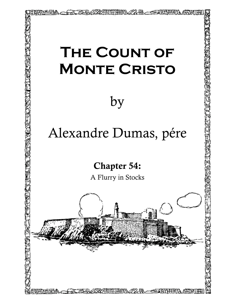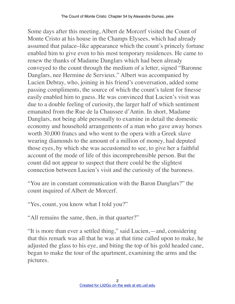Some days after this meeting, Albert de Morcerf visited the Count of Monte Cristo at his house in the Champs Elysees, which had already assumed that palace–like appearance which the count's princely fortune enabled him to give even to his most temporary residences. He came to renew the thanks of Madame Danglars which had been already conveyed to the count through the medium of a letter, signed "Baronne Danglars, nee Hermine de Servieux." Albert was accompanied by Lucien Debray, who, joining in his friend's conversation, added some passing compliments, the source of which the count's talent for finesse easily enabled him to guess. He was convinced that Lucien's visit was due to a double feeling of curiosity, the larger half of which sentiment emanated from the Rue de la Chaussee d'Antin. In short, Madame Danglars, not being able personally to examine in detail the domestic economy and household arrangements of a man who gave away horses worth 30,000 francs and who went to the opera with a Greek slave wearing diamonds to the amount of a million of money, had deputed those eyes, by which she was accustomed to see, to give her a faithful account of the mode of life of this incomprehensible person. But the count did not appear to suspect that there could be the slightest connection between Lucien's visit and the curiosity of the baroness.

"You are in constant communication with the Baron Danglars?" the count inquired of Albert de Morcerf.

"Yes, count, you know what I told you?"

"All remains the same, then, in that quarter?"

"It is more than ever a settled thing," said Lucien,—and, considering that this remark was all that he was at that time called upon to make, he adjusted the glass to his eye, and biting the top of his gold headed cane, began to make the tour of the apartment, examining the arms and the pictures.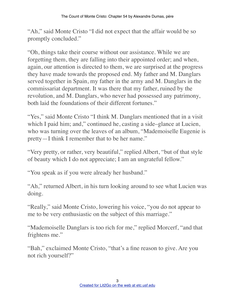"Ah," said Monte Cristo "I did not expect that the affair would be so promptly concluded."

"Oh, things take their course without our assistance. While we are forgetting them, they are falling into their appointed order; and when, again, our attention is directed to them, we are surprised at the progress they have made towards the proposed end. My father and M. Danglars served together in Spain, my father in the army and M. Danglars in the commissariat department. It was there that my father, ruined by the revolution, and M. Danglars, who never had possessed any patrimony, both laid the foundations of their different fortunes."

"Yes," said Monte Cristo "I think M. Danglars mentioned that in a visit which I paid him; and," continued he, casting a side–glance at Lucien, who was turning over the leaves of an album, "Mademoiselle Eugenie is pretty—I think I remember that to be her name."

"Very pretty, or rather, very beautiful," replied Albert, "but of that style of beauty which I do not appreciate; I am an ungrateful fellow."

"You speak as if you were already her husband."

"Ah," returned Albert, in his turn looking around to see what Lucien was doing.

"Really," said Monte Cristo, lowering his voice, "you do not appear to me to be very enthusiastic on the subject of this marriage."

"Mademoiselle Danglars is too rich for me," replied Morcerf, "and that frightens me."

"Bah," exclaimed Monte Cristo, "that's a fine reason to give. Are you not rich yourself?"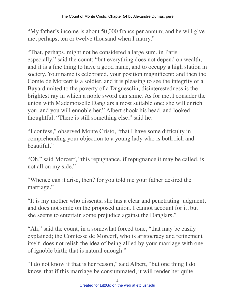"My father's income is about 50,000 francs per annum; and he will give me, perhaps, ten or twelve thousand when I marry."

"That, perhaps, might not be considered a large sum, in Paris especially," said the count; "but everything does not depend on wealth, and it is a fine thing to have a good name, and to occupy a high station in society. Your name is celebrated, your position magnificent; and then the Comte de Morcerf is a soldier, and it is pleasing to see the integrity of a Bayard united to the poverty of a Duguesclin; disinterestedness is the brightest ray in which a noble sword can shine. As for me, I consider the union with Mademoiselle Danglars a most suitable one; she will enrich you, and you will ennoble her." Albert shook his head, and looked thoughtful. "There is still something else," said he.

"I confess," observed Monte Cristo, "that I have some difficulty in comprehending your objection to a young lady who is both rich and beautiful."

"Oh," said Morcerf, "this repugnance, if repugnance it may be called, is not all on my side."

"Whence can it arise, then? for you told me your father desired the marriage."

"It is my mother who dissents; she has a clear and penetrating judgment, and does not smile on the proposed union. I cannot account for it, but she seems to entertain some prejudice against the Danglars."

"Ah," said the count, in a somewhat forced tone, "that may be easily explained; the Comtesse de Morcerf, who is aristocracy and refinement itself, does not relish the idea of being allied by your marriage with one of ignoble birth; that is natural enough."

"I do not know if that is her reason," said Albert, "but one thing I do know, that if this marriage be consummated, it will render her quite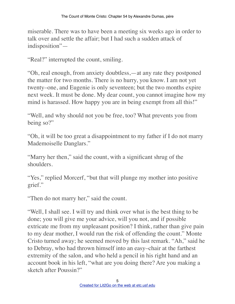miserable. There was to have been a meeting six weeks ago in order to talk over and settle the affair; but I had such a sudden attack of indisposition"—

"Real?" interrupted the count, smiling.

"Oh, real enough, from anxiety doubtless,—at any rate they postponed the matter for two months. There is no hurry, you know. I am not yet twenty–one, and Eugenie is only seventeen; but the two months expire next week. It must be done. My dear count, you cannot imagine how my mind is harassed. How happy you are in being exempt from all this!"

"Well, and why should not you be free, too? What prevents you from being so?"

"Oh, it will be too great a disappointment to my father if I do not marry Mademoiselle Danglars."

"Marry her then," said the count, with a significant shrug of the shoulders.

"Yes," replied Morcerf, "but that will plunge my mother into positive" grief."

"Then do not marry her," said the count.

"Well, I shall see. I will try and think over what is the best thing to be done; you will give me your advice, will you not, and if possible extricate me from my unpleasant position? I think, rather than give pain to my dear mother, I would run the risk of offending the count." Monte Cristo turned away; he seemed moved by this last remark. "Ah," said he to Debray, who had thrown himself into an easy–chair at the farthest extremity of the salon, and who held a pencil in his right hand and an account book in his left, "what are you doing there? Are you making a sketch after Poussin?"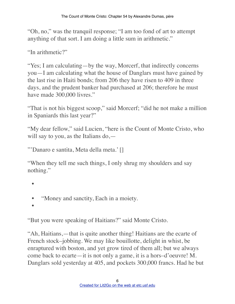"Oh, no," was the tranquil response; "I am too fond of art to attempt anything of that sort. I am doing a little sum in arithmetic."

"In arithmetic?"

"Yes; I am calculating—by the way, Morcerf, that indirectly concerns you—I am calculating what the house of Danglars must have gained by the last rise in Haiti bonds; from 206 they have risen to 409 in three days, and the prudent banker had purchased at 206; therefore he must have made 300,000 livres."

"That is not his biggest scoop," said Morcerf; "did he not make a million in Spaniards this last year?"

"My dear fellow," said Lucien, "here is the Count of Monte Cristo, who will say to you, as the Italians do,—

"'Danaro e santita, Meta della meta.' []

"When they tell me such things, I only shrug my shoulders and say nothing."

- •
- "Money and sanctity, Each in a moiety.
- •

"But you were speaking of Haitians?" said Monte Cristo.

"Ah, Haitians,—that is quite another thing! Haitians are the ecarte of French stock–jobbing. We may like bouillotte, delight in whist, be enraptured with boston, and yet grow tired of them all; but we always come back to ecarte—it is not only a game, it is a hors–d'oeuvre! M. Danglars sold yesterday at 405, and pockets 300,000 francs. Had he but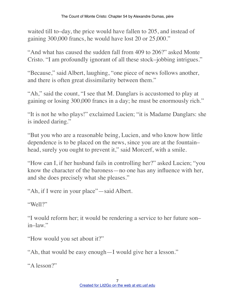waited till to–day, the price would have fallen to 205, and instead of gaining 300,000 francs, he would have lost 20 or 25,000."

"And what has caused the sudden fall from 409 to 206?" asked Monte Cristo. "I am profoundly ignorant of all these stock–jobbing intrigues."

"Because," said Albert, laughing, "one piece of news follows another, and there is often great dissimilarity between them."

"Ah," said the count, "I see that M. Danglars is accustomed to play at gaining or losing 300,000 francs in a day; he must be enormously rich."

"It is not he who plays!" exclaimed Lucien; "it is Madame Danglars: she is indeed daring."

"But you who are a reasonable being, Lucien, and who know how little dependence is to be placed on the news, since you are at the fountain– head, surely you ought to prevent it," said Morcerf, with a smile.

"How can I, if her husband fails in controlling her?" asked Lucien; "you know the character of the baroness—no one has any influence with her, and she does precisely what she pleases."

"Ah, if I were in your place"—said Albert.

"Well?"

"I would reform her; it would be rendering a service to her future son– in–law."

"How would you set about it?"

"Ah, that would be easy enough—I would give her a lesson."

"A lesson?"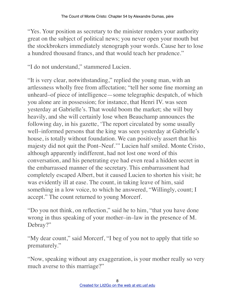"Yes. Your position as secretary to the minister renders your authority great on the subject of political news; you never open your mouth but the stockbrokers immediately stenograph your words. Cause her to lose a hundred thousand francs, and that would teach her prudence."

"I do not understand," stammered Lucien.

"It is very clear, notwithstanding," replied the young man, with an artlessness wholly free from affectation; "tell her some fine morning an unheard–of piece of intelligence—some telegraphic despatch, of which you alone are in possession; for instance, that Henri IV. was seen yesterday at Gabrielle's. That would boom the market; she will buy heavily, and she will certainly lose when Beauchamp announces the following day, in his gazette, 'The report circulated by some usually well–informed persons that the king was seen yesterday at Gabrielle's house, is totally without foundation. We can positively assert that his majesty did not quit the Pont–Neuf.'" Lucien half smiled. Monte Cristo, although apparently indifferent, had not lost one word of this conversation, and his penetrating eye had even read a hidden secret in the embarrassed manner of the secretary. This embarrassment had completely escaped Albert, but it caused Lucien to shorten his visit; he was evidently ill at ease. The count, in taking leave of him, said something in a low voice, to which he answered, "Willingly, count; I accept." The count returned to young Morcerf.

"Do you not think, on reflection," said he to him, "that you have done wrong in thus speaking of your mother–in–law in the presence of M. Debray?"

"My dear count," said Morcerf, "I beg of you not to apply that title so prematurely."

"Now, speaking without any exaggeration, is your mother really so very much averse to this marriage?"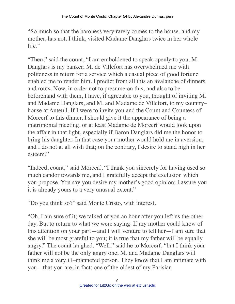"So much so that the baroness very rarely comes to the house, and my mother, has not, I think, visited Madame Danglars twice in her whole life."

"Then," said the count, "I am emboldened to speak openly to you. M. Danglars is my banker; M. de Villefort has overwhelmed me with politeness in return for a service which a casual piece of good fortune enabled me to render him. I predict from all this an avalanche of dinners and routs. Now, in order not to presume on this, and also to be beforehand with them, I have, if agreeable to you, thought of inviting M. and Madame Danglars, and M. and Madame de Villefort, to my country– house at Auteuil. If I were to invite you and the Count and Countess of Morcerf to this dinner, I should give it the appearance of being a matrimonial meeting, or at least Madame de Morcerf would look upon the affair in that light, especially if Baron Danglars did me the honor to bring his daughter. In that case your mother would hold me in aversion, and I do not at all wish that; on the contrary, I desire to stand high in her esteem."

"Indeed, count," said Morcerf, "I thank you sincerely for having used so much candor towards me, and I gratefully accept the exclusion which you propose. You say you desire my mother's good opinion; I assure you it is already yours to a very unusual extent."

"Do you think so?" said Monte Cristo, with interest.

"Oh, I am sure of it; we talked of you an hour after you left us the other day. But to return to what we were saying. If my mother could know of this attention on your part—and I will venture to tell her—I am sure that she will be most grateful to you; it is true that my father will be equally angry." The count laughed. "Well," said he to Morcerf, "but I think your father will not be the only angry one; M. and Madame Danglars will think me a very ill–mannered person. They know that I am intimate with you—that you are, in fact; one of the oldest of my Parisian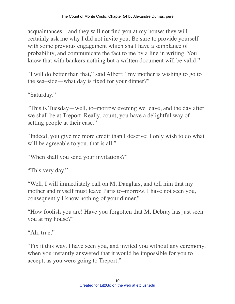acquaintances—and they will not find you at my house; they will certainly ask me why I did not invite you. Be sure to provide yourself with some previous engagement which shall have a semblance of probability, and communicate the fact to me by a line in writing. You know that with bankers nothing but a written document will be valid."

"I will do better than that," said Albert; "my mother is wishing to go to the sea–side—what day is fixed for your dinner?"

"Saturday."

"This is Tuesday—well, to–morrow evening we leave, and the day after we shall be at Treport. Really, count, you have a delightful way of setting people at their ease."

"Indeed, you give me more credit than I deserve; I only wish to do what will be agreeable to you, that is all."

"When shall you send your invitations?"

"This very day."

"Well, I will immediately call on M. Danglars, and tell him that my mother and myself must leave Paris to–morrow. I have not seen you, consequently I know nothing of your dinner."

"How foolish you are! Have you forgotten that M. Debray has just seen you at my house?"

"Ah, true."

"Fix it this way. I have seen you, and invited you without any ceremony, when you instantly answered that it would be impossible for you to accept, as you were going to Treport."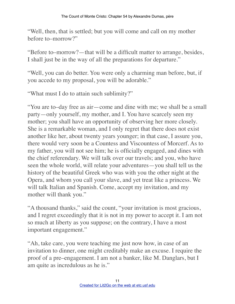"Well, then, that is settled; but you will come and call on my mother before to–morrow?"

"Before to–morrow?—that will be a difficult matter to arrange, besides, I shall just be in the way of all the preparations for departure."

"Well, you can do better. You were only a charming man before, but, if you accede to my proposal, you will be adorable."

"What must I do to attain such sublimity?"

"You are to–day free as air—come and dine with me; we shall be a small party—only yourself, my mother, and I. You have scarcely seen my mother; you shall have an opportunity of observing her more closely. She is a remarkable woman, and I only regret that there does not exist another like her, about twenty years younger; in that case, I assure you, there would very soon be a Countess and Viscountess of Morcerf. As to my father, you will not see him; he is officially engaged, and dines with the chief referendary. We will talk over our travels; and you, who have seen the whole world, will relate your adventures—you shall tell us the history of the beautiful Greek who was with you the other night at the Opera, and whom you call your slave, and yet treat like a princess. We will talk Italian and Spanish. Come, accept my invitation, and my mother will thank you."

"A thousand thanks," said the count, "your invitation is most gracious, and I regret exceedingly that it is not in my power to accept it. I am not so much at liberty as you suppose; on the contrary, I have a most important engagement."

"Ah, take care, you were teaching me just now how, in case of an invitation to dinner, one might creditably make an excuse. I require the proof of a pre–engagement. I am not a banker, like M. Danglars, but I am quite as incredulous as he is."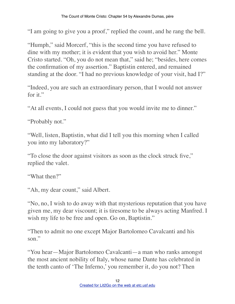"I am going to give you a proof," replied the count, and he rang the bell.

"Humph," said Morcerf, "this is the second time you have refused to dine with my mother; it is evident that you wish to avoid her." Monte Cristo started. "Oh, you do not mean that," said he; "besides, here comes the confirmation of my assertion." Baptistin entered, and remained standing at the door. "I had no previous knowledge of your visit, had I?"

"Indeed, you are such an extraordinary person, that I would not answer for it."

"At all events, I could not guess that you would invite me to dinner."

"Probably not."

"Well, listen, Baptistin, what did I tell you this morning when I called you into my laboratory?"

"To close the door against visitors as soon as the clock struck five," replied the valet.

"What then?"

"Ah, my dear count," said Albert.

"No, no, I wish to do away with that mysterious reputation that you have given me, my dear viscount; it is tiresome to be always acting Manfred. I wish my life to be free and open. Go on, Baptistin."

"Then to admit no one except Major Bartolomeo Cavalcanti and his son."

"You hear—Major Bartolomeo Cavalcanti—a man who ranks amongst the most ancient nobility of Italy, whose name Dante has celebrated in the tenth canto of 'The Inferno,' you remember it, do you not? Then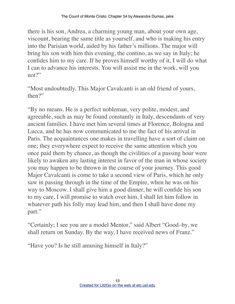there is his son, Andrea, a charming young man, about your own age, viscount, bearing the same title as yourself, and who is making his entry into the Parisian world, aided by his father's millions. The major will bring his son with him this evening, the contino, as we say in Italy; he confides him to my care. If he proves himself worthy of it, I will do what I can to advance his interests. You will assist me in the work, will you not?"

"Most undoubtedly. This Major Cavalcanti is an old friend of yours, then?"

"By no means. He is a perfect nobleman, very polite, modest, and agreeable, such as may be found constantly in Italy, descendants of very ancient families. I have met him several times at Florence, Bologna and Lucca, and he has now communicated to me the fact of his arrival in Paris. The acquaintances one makes in travelling have a sort of claim on one; they everywhere expect to receive the same attention which you once paid them by chance, as though the civilities of a passing hour were likely to awaken any lasting interest in favor of the man in whose society you may happen to be thrown in the course of your journey. This good Major Cavalcanti is come to take a second view of Paris, which he only saw in passing through in the time of the Empire, when he was on his way to Moscow. I shall give him a good dinner, he will confide his son to my care, I will promise to watch over him, I shall let him follow in whatever path his folly may lead him, and then I shall have done my part."

"Certainly; I see you are a model Mentor," said Albert "Good–by, we shall return on Sunday. By the way, I have received news of Franz."

"Have you? Is he still amusing himself in Italy?"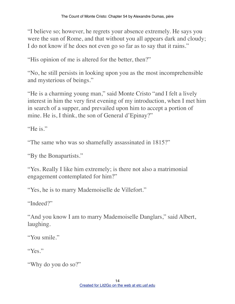"I believe so; however, he regrets your absence extremely. He says you were the sun of Rome, and that without you all appears dark and cloudy; I do not know if he does not even go so far as to say that it rains."

"His opinion of me is altered for the better, then?"

"No, he still persists in looking upon you as the most incomprehensible and mysterious of beings."

"He is a charming young man," said Monte Cristo "and I felt a lively interest in him the very first evening of my introduction, when I met him in search of a supper, and prevailed upon him to accept a portion of mine. He is, I think, the son of General d'Epinay?"

"He is."

"The same who was so shamefully assassinated in 1815?"

"By the Bonapartists."

"Yes. Really I like him extremely; is there not also a matrimonial engagement contemplated for him?"

"Yes, he is to marry Mademoiselle de Villefort."

"Indeed?"

"And you know I am to marry Mademoiselle Danglars," said Albert, laughing.

"You smile."

"Yes."

"Why do you do so?"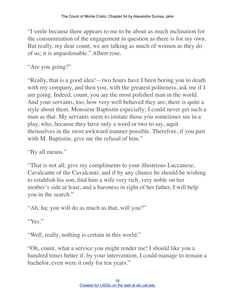"I smile because there appears to me to be about as much inclination for the consummation of the engagement in question as there is for my own. But really, my dear count, we are talking as much of women as they do of us; it is unpardonable." Albert rose.

"Are you going?"

"Really, that is a good idea!—two hours have I been boring you to death with my company, and then you, with the greatest politeness, ask me if I am going. Indeed, count, you are the most polished man in the world. And your servants, too, how very well behaved they are; there is quite a style about them. Monsieur Baptistin especially; I could never get such a man as that. My servants seem to imitate those you sometimes see in a play, who, because they have only a word or two to say, aquit themselves in the most awkward manner possible. Therefore, if you part with M. Baptistin, give me the refusal of him."

"By all means."

"That is not all; give my compliments to your illustrious Luccanese, Cavalcante of the Cavalcanti; and if by any chance he should be wishing to establish his son, find him a wife very rich, very noble on her mother's side at least, and a baroness in right of her father, I will help you in the search."

"Ah, ha; you will do as much as that, will you?"

"Yes."

"Well, really, nothing is certain in this world."

"Oh, count, what a service you might render me! I should like you a hundred times better if, by your intervention, I could manage to remain a bachelor, even were it only for ten years."